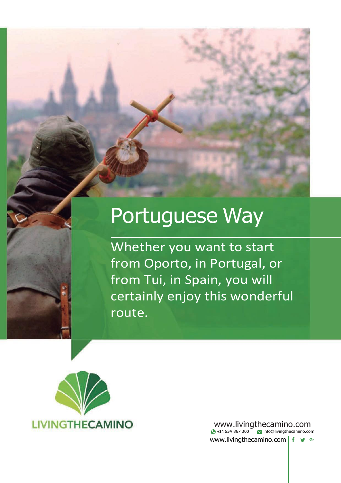# Portuguese Way

Whether you want to start from Oporto, in Portugal, or from Tui, in Spain, you will certainly enjoy this wonderful route.



[www.livingthecamino.com](http://www.livingthecamino.com/) **+34** 634 867 300 [info@livingthecamino.com](mailto:info@livingthecamino.com) [www.livingthecamino.com](http://www.livingthecamino.com/) f y G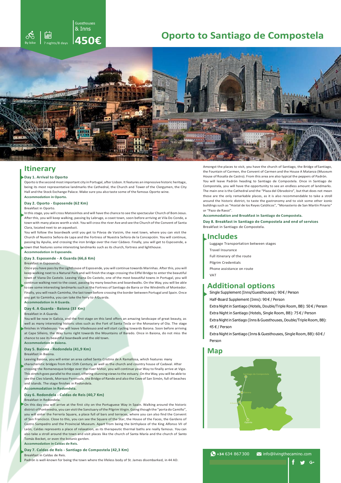

# **Oporto to Santiago de Compostela**



## **Itinerary**

#### **Day 1. Arrival to Oporto**

Oporto isthe second mostimportant city in Portugal, after Lisbon. It features an impressive historic heritage, being its most representative landmarks the Cathedral, the Church and Tower of the Clergymen, the City Hall and the Stock Exchange Palace. Make sure you also taste some of the famous Oporto wine. **Accommodation in Oporto.**

#### **Day 2. Oporto - Esposende (62 Km)** Breakfast in Oporto.

In this stage, you will cross Matosinhos and will have the chance to see the spectacular Church of Bom Jesus. Afterthis, you will keep walking, passing by Labruge, a coast town, soon before arriving at Vila Do Conde, a town with many places worth a visit. You will cross the river Ave and see the Church of the Convent of Santa Clara, located next to an aqueduct.

You will follow the boardwalk until you get to Póvoa de Varzim, the next town, where you can visit the Church of Nuestra Señora de Lapa and the Fortress of Nuestra Señora de la Concepción. You will continue, passing by Apulia, and crossing the iron bridge over the river Cádavo. Finally, you will get to Esposende, a town that features some interesting landmarks such as its church, fortress and lighthouse.

## **Accommodation in Esposende.**

## **Day 3. Esposende - A Guarda (66,6 Km)**

## Breakfast in Esposende.

Once you have pass by the Lighthouse of Esposende, you will continue towards Marinhas. Afterthis, you will keep walking next to a Natural Park and will finish the stage crossing the Eiffel Bridge to enterthe beautiful town of Viana Do Castelo. Leaving Viana Do Castelo, one of the most beautiful towns in Portugal, you will continue walking next to the coast, passing by many beaches and boardwalks. On the Way, you will be able to see some interesting landmarks such as the Fortress of Santiago de Barra or the Windmills of Montedor. Finally, you will reach Caminha, the last town before crossing the border between Portugal and Spain. Once you get to Caminha, you can take the ferry to AGuarda.

## **Day 4. A Guarda - Baiona (33 Km)**

#### Breakfast in A Guarda.

**Accommodation in A Guarda.**

You will be now in Galicia, and the first stage on this land offers an amazing landscape of great beauty, as well as many interesting historic sites such as the Fort of Santa Tecla or the Monastery of Oia. The stage finishes in Viladesuso. You will leave Viladesuso and will start cycling towards Baiona. Soon before arriving at Cape Silleiro, the Way turns right towards the Mountains of Baredo. Once in Baiona, do not miss the chance to see its beautiful boardwalk and the old town.

## **Day 5. Baiona - Redondela (41,9 Km)**

Breakfast in Baiona.

**Accommodation in Baiona.**

Leaving Baiona, you will enter an area called Santa Cristina de A Ramallosa, which features many characteristic bridges from the 15th Century, as well as the church and country house of Cadaval. After crossing the Romanesque bridge over the river Miñor, you will continue your Way to finally arrive at Vigo. Thisstretch goes parallel to the coast, offering stunning viewsto the estuary. On the Way, you will be able to see the Cíes Islands, Morrazo Peninsula, the Bridge of Rande and also the Cove of San Simón, full of beaches and islands. The stage finishes in Redondela.

## **Accommodation in Redondela.**

#### **Day 6. Redondela - Caldas de Reis (40,7 Km)** Breakfast in Redondela.

On this day you will arrive at the first city on the Portuguese Way in Spain. Walking around the historic district of Pontevedra, you can visit the Sanctuary of the Pilgrim Virgin. Going though the "porta do Camiño", you will enter the Ferrería Square, a place full of bars and terraces, where you can also find the Convent of San Francisco. Close to this, you can see the Square of the Star, the House of the Faces, the Gardens of Castro Sampedro and the Provincial Museum. Apart from being the birthplace of the King Alfonso VII of León, Caldas represents a place of relaxation, as its therapeutic thermal baths are really famous. You can also take a stroll around the town and visit places like the church of Santa María and the church of Santo Tomás Becket, or even the botanic garden. **Accommodation in Caldas de Reis.**

## **Day 7. Caldas de Reis - Santiago de Compostela (42,3 Km)**

Breakfast in Caldas de Reis. Padrón is well-known for being the town where the lifeless body of St. James disembarked, in 44 AD. Amongst the places to visit, you have the church of Santiago, the Bridge ofSantiago, the Fountain of Carmen, the Convent of Carmen and the House A Matanza (Museum House of Rosalía de Castro). From this area are also typical the peppers of Padrón. You will leave Padrón heading to Santiago de Compostela. Once in Santiago de Compostela, you will have the opportunity to see an endless amount of landmarks. The main one is the Cathedral and the "Plaza del Obradoiro", but that does not mean those are the only remarkable places, as it is also recommendable to take a stroll around the historic district, to taste the gastronomy and to visit some other iconic buildingssuch as "Hostal de los Reyes Católicos", "Monasterio de San Martín Pinario" or "Pazo de Raxoi".

#### **Accommodation and Breakfast in Santiago de Compostela.**

**Day 8. Breakfast in Santiago de Compostela and end of services** Breakfast in Santiago de Compostela.

## **Includes**

Luggage Transportation between stages Travel Insurance Full itinerary of the route Pilgrim Credentials Phone assistance on route VAT

## **Additional options**

Single Supplement (Inns/Guesthouses): 90 € / Person

Half-Board Supplement (Inns): 90 € / Person

Extra Night in Santiago (Hotels, Double/Triple Room, BB): 50 € / Person

Extra Night in Santiago (Hotels, Single Room, BB): 75 € / Person

Extra Nightin Santiago (Inns & Guesthouses, Double/Triple Room, BB): 45 € / Person

Extra Night in Santiago (Inns & Guesthouses, Single Room, BB): 60 € / Person

## **Map**



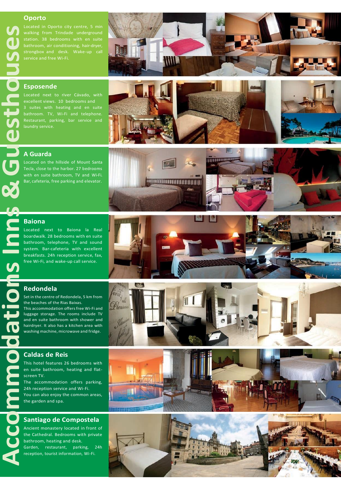## **Oporto**

strongbox and desk. Wake-up call



## **Esposende**

3 suites with heating and en suite Restaurant, parking, bar service and



**INTENSIONALISTICAL PROPERTY AND INCOME.** 



Located on the hillside of Mount Santa Tecla, close to the harbor. 27 bedrooms with en suite bathroom, TV and Wi-Fi. Bar, cafeteria, free parking and elevator.

# **Baiona**

**Accommodations Inns &Guesthouses**

<u>95</u>

 $\overline{\bullet}$ 

Located next to Baiona la Real boardwalk. 28 bedrooms with en suite bathroom, telephone, TV and sound system. Bar-cafeteria with excellent breakfasts. 24h reception service, fax, free Wi-Fi, and wake-up call service.



14 棒

## **Redondela**

Set in the centre of Redondela, 5 km from the beaches of the Rias Baixas. This accommodation offers free Wi-Fi and luggage storage. The rooms include TV

and en suite bathroom with shower and hairdryer. It also has a kitchen area with washing machine, microwave and fridge.

## **Caldas de Reis**

This hotel features 26 bedrooms with en suite bathroom, heating and flatscreen TV.

The accommodation offers parking, 24h reception service and Wi-Fi. You can also enjoy the common areas,

the garden and spa.

## **Santiago de Compostela**

Ancient monastery located in front of the Cathedral. Bedrooms with private bathroom, heating and desk. Garden, restaurant, parking, 24h reception, tourist information, Wi-Fi.